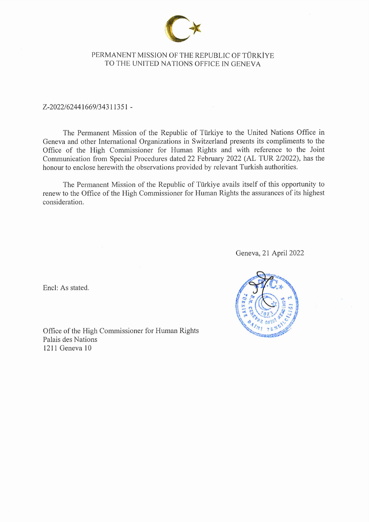

#### PERMANENT MISSION OF THE REPUBLIC OF TÜRKİYE TO THE UNITED NATIONS OFFICE IN GENEVA

Z-2022/62441669/34311351-

The Permanent Mission of the Republic of Türkiye to the United Nations Office in Geneva and other International Organizations in Switzerland presents its compliments to the Office of the High Commissioner for Human Rights and with reference to the Joint Communication from Special Procedures dated 22 February 2022 (AL TUR 2/2022), has the honour to enclose herewith the observations provided by relevant Turkish authorities.

The Permanent Mission of the Republic of Türkiye avails itself of this opportunity to renew to the Office of the High Commissioner for Human Rights the assurances of its highest consideration.

Geneva, 21 April 2022

Encl: As stated.

Office of the High Commissioner for Human Rights Palais des Nations 1211 Geneva 10

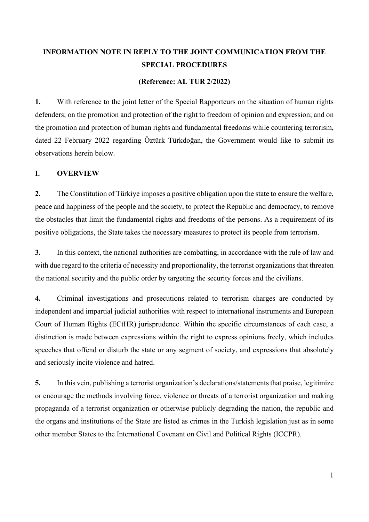# **INFORMATION NOTE IN REPLY TO THE JOINT COMMUNICATION FROM THE SPECIAL PROCEDURES**

#### **(Reference: AL TUR 2/2022)**

**1.** With reference to the joint letter of the Special Rapporteurs on the situation of human rights defenders; on the promotion and protection of the right to freedom of opinion and expression; and on the promotion and protection of human rights and fundamental freedoms while countering terrorism, dated 22 February 2022 regarding Öztürk Türkdoğan, the Government would like to submit its observations herein below.

#### **I. OVERVIEW**

**2.** The Constitution of Türkiye imposes a positive obligation upon the state to ensure the welfare, peace and happiness of the people and the society, to protect the Republic and democracy, to remove the obstacles that limit the fundamental rights and freedoms of the persons. As a requirement of its positive obligations, the State takes the necessary measures to protect its people from terrorism.

**3.** In this context, the national authorities are combatting, in accordance with the rule of law and with due regard to the criteria of necessity and proportionality, the terrorist organizations that threaten the national security and the public order by targeting the security forces and the civilians.

**4.** Criminal investigations and prosecutions related to terrorism charges are conducted by independent and impartial judicial authorities with respect to international instruments and European Court of Human Rights (ECtHR) jurisprudence. Within the specific circumstances of each case, a distinction is made between expressions within the right to express opinions freely, which includes speeches that offend or disturb the state or any segment of society, and expressions that absolutely and seriously incite violence and hatred.

**5.** In this vein, publishing a terrorist organization's declarations/statements that praise, legitimize or encourage the methods involving force, violence or threats of a terrorist organization and making propaganda of a terrorist organization or otherwise publicly degrading the nation, the republic and the organs and institutions of the State are listed as crimes in the Turkish legislation just as in some other member States to the International Covenant on Civil and Political Rights (ICCPR).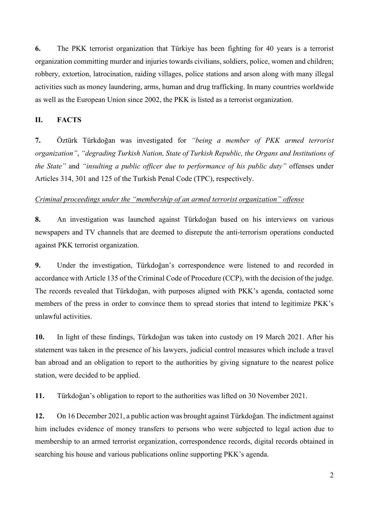**6.** The PKK terrorist organization that Türkiye has been fighting for 40 years is a terrorist organization committing murder and injuries towards civilians, soldiers, police, women and children; robbery, extortion, latrocination, raiding villages, police stations and arson along with many illegal activities such as money laundering, arms, human and drug trafficking. In many countries worldwide as well as the European Union since 2002, the PKK is listed as a terrorist organization.

#### **II. FACTS**

**7.** Öztürk Türkdoğan was investigated for *"being a member of PKK armed terrorist organization"*, *"degrading Turkish Nation, State of Turkish Republic, the Organs and Institutions of the State"* and *"insulting a public officer due to performance of his public duty"* offenses under Articles 314, 301 and 125 of the Turkish Penal Code (TPC), respectively.

#### *Criminal proceedings under the "membership of an armed terrorist organization" offense*

**8.** An investigation was launched against Türkdoğan based on his interviews on various newspapers and TV channels that are deemed to disrepute the anti-terrorism operations conducted against PKK terrorist organization.

**9.** Under the investigation, Türkdoğan's correspondence were listened to and recorded in accordance with Article 135 of the Criminal Code of Procedure (CCP), with the decision of the judge. The records revealed that Türkdoğan, with purposes aligned with PKK's agenda, contacted some members of the press in order to convince them to spread stories that intend to legitimize PKK's unlawful activities.

**10.** In light of these findings, Türkdoğan was taken into custody on 19 March 2021. After his statement was taken in the presence of his lawyers, judicial control measures which include a travel ban abroad and an obligation to report to the authorities by giving signature to the nearest police station, were decided to be applied.

**11.** Türkdoğan's obligation to report to the authorities was lifted on 30 November 2021.

**12.** On 16 December 2021, a public action was brought against Türkdoğan. The indictment against him includes evidence of money transfers to persons who were subjected to legal action due to membership to an armed terrorist organization, correspondence records, digital records obtained in searching his house and various publications online supporting PKK's agenda.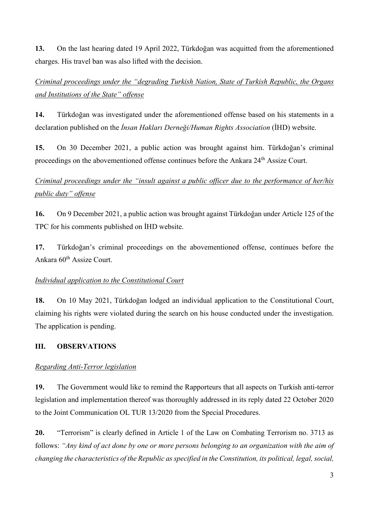**13.** On the last hearing dated 19 April 2022, Türkdoğan was acquitted from the aforementioned charges. His travel ban was also lifted with the decision.

# *Criminal proceedings under the "degrading Turkish Nation, State of Turkish Republic, the Organs and Institutions of the State" offense*

**14.** Türkdoğan was investigated under the aforementioned offense based on his statements in a declaration published on the *İnsan Hakları Derneği/Human Rights Association* (İHD) website.

**15.** On 30 December 2021, a public action was brought against him. Türkdoğan's criminal proceedings on the abovementioned offense continues before the Ankara 24th Assize Court.

# *Criminal proceedings under the "insult against a public officer due to the performance of her/his public duty" offense*

**16.** On 9 December 2021, a public action was brought against Türkdoğan under Article 125 of the TPC for his comments published on İHD website.

**17.** Türkdoğan's criminal proceedings on the abovementioned offense, continues before the Ankara 60<sup>th</sup> Assize Court.

### *Individual application to the Constitutional Court*

**18.** On 10 May 2021, Türkdoğan lodged an individual application to the Constitutional Court, claiming his rights were violated during the search on his house conducted under the investigation. The application is pending.

## **III. OBSERVATIONS**

### *Regarding Anti-Terror legislation*

**19.** The Government would like to remind the Rapporteurs that all aspects on Turkish anti-terror legislation and implementation thereof was thoroughly addressed in its reply dated 22 October 2020 to the Joint Communication OL TUR 13/2020 from the Special Procedures.

**20.** "Terrorism" is clearly defined in Article 1 of the Law on Combating Terrorism no. 3713 as follows: *"Any kind of act done by one or more persons belonging to an organization with the aim of changing the characteristics of the Republic as specified in the Constitution, its political, legal, social,*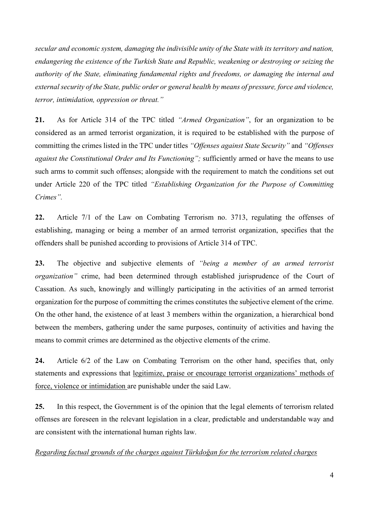*secular and economic system, damaging the indivisible unity of the State with its territory and nation, endangering the existence of the Turkish State and Republic, weakening or destroying or seizing the authority of the State, eliminating fundamental rights and freedoms, or damaging the internal and external security of the State, public order or general health by means of pressure, force and violence, terror, intimidation, oppression or threat."*

**21.** As for Article 314 of the TPC titled *"Armed Organization"*, for an organization to be considered as an armed terrorist organization, it is required to be established with the purpose of committing the crimes listed in the TPC under titles *"Offenses against State Security"* and *"Offenses against the Constitutional Order and Its Functioning";* sufficiently armed or have the means to use such arms to commit such offenses; alongside with the requirement to match the conditions set out under Article 220 of the TPC titled *"Establishing Organization for the Purpose of Committing Crimes".*

**22.** Article 7/1 of the Law on Combating Terrorism no. 3713, regulating the offenses of establishing, managing or being a member of an armed terrorist organization, specifies that the offenders shall be punished according to provisions of Article 314 of TPC.

**23.** The objective and subjective elements of *"being a member of an armed terrorist organization"* crime, had been determined through established jurisprudence of the Court of Cassation. As such, knowingly and willingly participating in the activities of an armed terrorist organization for the purpose of committing the crimes constitutes the subjective element of the crime. On the other hand, the existence of at least 3 members within the organization, a hierarchical bond between the members, gathering under the same purposes, continuity of activities and having the means to commit crimes are determined as the objective elements of the crime.

**24.** Article 6/2 of the Law on Combating Terrorism on the other hand, specifies that, only statements and expressions that legitimize, praise or encourage terrorist organizations' methods of force, violence or intimidation are punishable under the said Law.

**25.** In this respect, the Government is of the opinion that the legal elements of terrorism related offenses are foreseen in the relevant legislation in a clear, predictable and understandable way and are consistent with the international human rights law.

*Regarding factual grounds of the charges against Türkdoğan for the terrorism related charges*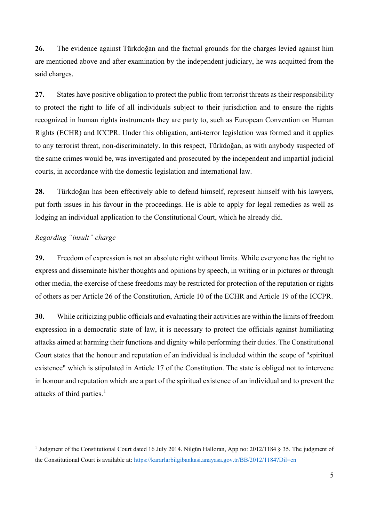**26.** The evidence against Türkdoğan and the factual grounds for the charges levied against him are mentioned above and after examination by the independent judiciary, he was acquitted from the said charges.

**27.** States have positive obligation to protect the public from terrorist threats as their responsibility to protect the right to life of all individuals subject to their jurisdiction and to ensure the rights recognized in human rights instruments they are party to, such as European Convention on Human Rights (ECHR) and ICCPR. Under this obligation, anti-terror legislation was formed and it applies to any terrorist threat, non-discriminately. In this respect, Türkdoğan, as with anybody suspected of the same crimes would be, was investigated and prosecuted by the independent and impartial judicial courts, in accordance with the domestic legislation and international law.

**28.** Türkdoğan has been effectively able to defend himself, represent himself with his lawyers, put forth issues in his favour in the proceedings. He is able to apply for legal remedies as well as lodging an individual application to the Constitutional Court, which he already did.

### *Regarding "insult" charge*

**29.** Freedom of expression is not an absolute right without limits. While everyone has the right to express and disseminate his/her thoughts and opinions by speech, in writing or in pictures or through other media, the exercise of these freedoms may be restricted for protection of the reputation or rights of others as per Article 26 of the Constitution, Article 10 of the ECHR and Article 19 of the ICCPR.

**30.** While criticizing public officials and evaluating their activities are within the limits of freedom expression in a democratic state of law, it is necessary to protect the officials against humiliating attacks aimed at harming their functions and dignity while performing their duties. The Constitutional Court states that the honour and reputation of an individual is included within the scope of "spiritual existence" which is stipulated in Article 17 of the Constitution. The state is obliged not to intervene in honour and reputation which are a part of the spiritual existence of an individual and to prevent the attacks of third parties. [1](#page-5-0)

<span id="page-5-0"></span><sup>&</sup>lt;sup>1</sup> Judgment of the Constitutional Court dated 16 July 2014. Nilgün Halloran, App no: 2012/1184 § 35. The judgment of the Constitutional Court is available at:<https://kararlarbilgibankasi.anayasa.gov.tr/BB/2012/1184?Dil=en>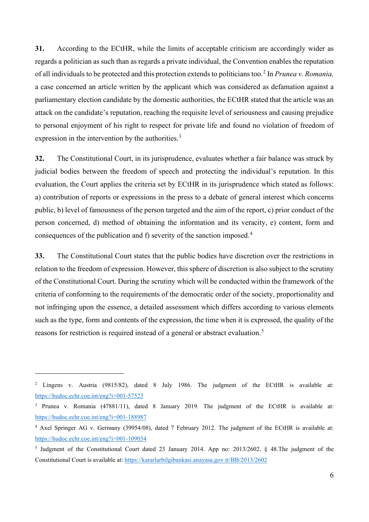**31.** According to the ECtHR, while the limits of acceptable criticism are accordingly wider as regards a politician as such than as regards a private individual, the Convention enables the reputation of all individuals to be protected and this protection extends to politicians too.[2](#page-6-0) In *Prunea v. Romania,*  a case concerned an article written by the applicant which was considered as defamation against a parliamentary election candidate by the domestic authorities, the ECtHR stated that the article was an attack on the candidate's reputation, reaching the requisite level of seriousness and causing prejudice to personal enjoyment of his right to respect for private life and found no violation of freedom of expression in the intervention by the authorities.<sup>[3](#page-6-1)</sup>

**32.** The Constitutional Court, in its jurisprudence, evaluates whether a fair balance was struck by judicial bodies between the freedom of speech and protecting the individual's reputation. In this evaluation, the Court applies the criteria set by ECtHR in its jurisprudence which stated as follows: a) contribution of reports or expressions in the press to a debate of general interest which concerns public, b) level of famousness of the person targeted and the aim of the report, c) prior conduct of the person concerned, d) method of obtaining the information and its veracity, e) content, form and consequences of the publication and f) severity of the sanction imposed.[4](#page-6-2)

**33.** The Constitutional Court states that the public bodies have discretion over the restrictions in relation to the freedom of expression. However, this sphere of discretion is also subject to the scrutiny of the Constitutional Court. During the scrutiny which will be conducted within the framework of the criteria of conforming to the requirements of the democratic order of the society, proportionality and not infringing upon the essence, a detailed assessment which differs according to various elements such as the type, form and contents of the expression, the time when it is expressed, the quality of the reasons for restriction is required instead of a general or abstract evaluation.<sup>[5](#page-6-3)</sup>

<span id="page-6-0"></span><sup>&</sup>lt;sup>2</sup> Lingens v. Austria (9815/82), dated 8 July 1986. The judgment of the ECtHR is available at: [https://hudoc.echr.coe.int/eng?i=001](https://hudoc.echr.coe.int/eng?i=001-57523)-57523

<span id="page-6-1"></span><sup>&</sup>lt;sup>3</sup> Prunea v. Romania (47881/11), dated 8 January 2019. The judgment of the ECtHR is available at: h[ttps://hudoc.echr.coe.int/eng?i=001](https://hudoc.echr.coe.int/eng?i=001-188987)-188987

<span id="page-6-2"></span><sup>&</sup>lt;sup>4</sup> Axel Springer AG v. Germany (39954/08), dated 7 February 2012. The judgment of the ECtHR is available at: [https://hudoc.echr.coe.int/eng?i=001](https://hudoc.echr.coe.int/eng?i=001-109034)-109034

<span id="page-6-3"></span><sup>5</sup> Judgment of the Constitutional Court dated 23 January 2014. App no: 2013/2602. § 48.The judgment of the Constitutional Court is available at: <https://kararlarbilgibankasi.anayasa.gov.tr/BB/2013/2602>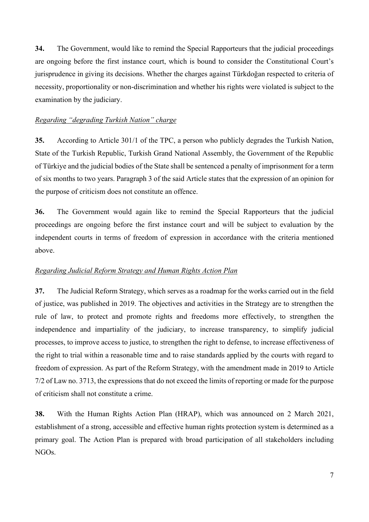**34.** The Government, would like to remind the Special Rapporteurs that the judicial proceedings are ongoing before the first instance court, which is bound to consider the Constitutional Court's jurisprudence in giving its decisions. Whether the charges against Türkdoğan respected to criteria of necessity, proportionality or non-discrimination and whether his rights were violated is subject to the examination by the judiciary.

### *Regarding "degrading Turkish Nation" charge*

**35.** According to Article 301/1 of the TPC, a person who publicly degrades the Turkish Nation, State of the Turkish Republic, Turkish Grand National Assembly, the Government of the Republic of Türkiye and the judicial bodies of the State shall be sentenced a penalty of imprisonment for a term of six months to two years. Paragraph 3 of the said Article states that the expression of an opinion for the purpose of criticism does not constitute an offence.

**36.** The Government would again like to remind the Special Rapporteurs that the judicial proceedings are ongoing before the first instance court and will be subject to evaluation by the independent courts in terms of freedom of expression in accordance with the criteria mentioned above.

## *Regarding Judicial Reform Strategy and Human Rights Action Plan*

**37.** The Judicial Reform Strategy, which serves as a roadmap for the works carried out in the field of justice, was published in 2019. The objectives and activities in the Strategy are to strengthen the rule of law, to protect and promote rights and freedoms more effectively, to strengthen the independence and impartiality of the judiciary, to increase transparency, to simplify judicial processes, to improve access to justice, to strengthen the right to defense, to increase effectiveness of the right to trial within a reasonable time and to raise standards applied by the courts with regard to freedom of expression. As part of the Reform Strategy, with the amendment made in 2019 to Article 7/2 of Law no. 3713, the expressions that do not exceed the limits of reporting or made for the purpose of criticism shall not constitute a crime.

**38.** With the Human Rights Action Plan (HRAP), which was announced on 2 March 2021, establishment of a strong, accessible and effective human rights protection system is determined as a primary goal. The Action Plan is prepared with broad participation of all stakeholders including NGOs.